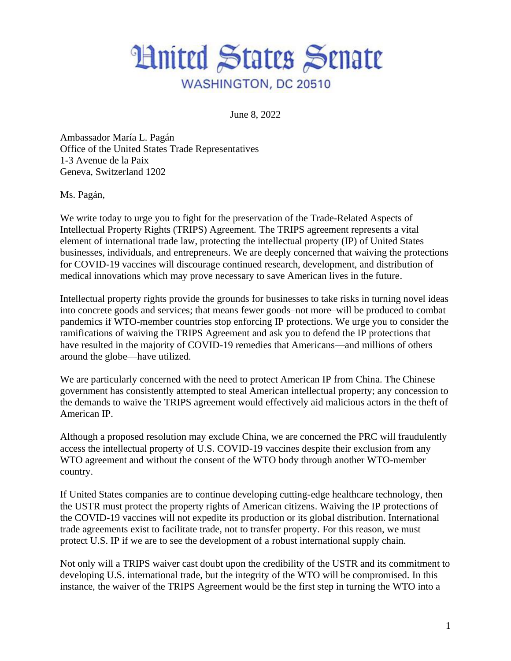

June 8, 2022

Ambassador María L. Pagán Office of the United States Trade Representatives 1-3 Avenue de la Paix Geneva, Switzerland 1202

Ms. Pagán,

We write today to urge you to fight for the preservation of the Trade-Related Aspects of Intellectual Property Rights (TRIPS) Agreement. The TRIPS agreement represents a vital element of international trade law, protecting the intellectual property (IP) of United States businesses, individuals, and entrepreneurs. We are deeply concerned that waiving the protections for COVID-19 vaccines will discourage continued research, development, and distribution of medical innovations which may prove necessary to save American lives in the future.

Intellectual property rights provide the grounds for businesses to take risks in turning novel ideas into concrete goods and services; that means fewer goods–not more–will be produced to combat pandemics if WTO-member countries stop enforcing IP protections. We urge you to consider the ramifications of waiving the TRIPS Agreement and ask you to defend the IP protections that have resulted in the majority of COVID-19 remedies that Americans—and millions of others around the globe—have utilized.

We are particularly concerned with the need to protect American IP from China. The Chinese government has consistently attempted to steal American intellectual property; any concession to the demands to waive the TRIPS agreement would effectively aid malicious actors in the theft of American IP.

Although a proposed resolution may exclude China, we are concerned the PRC will fraudulently access the intellectual property of U.S. COVID-19 vaccines despite their exclusion from any WTO agreement and without the consent of the WTO body through another WTO-member country.

If United States companies are to continue developing cutting-edge healthcare technology, then the USTR must protect the property rights of American citizens. Waiving the IP protections of the COVID-19 vaccines will not expedite its production or its global distribution. International trade agreements exist to facilitate trade, not to transfer property. For this reason, we must protect U.S. IP if we are to see the development of a robust international supply chain.

Not only will a TRIPS waiver cast doubt upon the credibility of the USTR and its commitment to developing U.S. international trade, but the integrity of the WTO will be compromised. In this instance, the waiver of the TRIPS Agreement would be the first step in turning the WTO into a